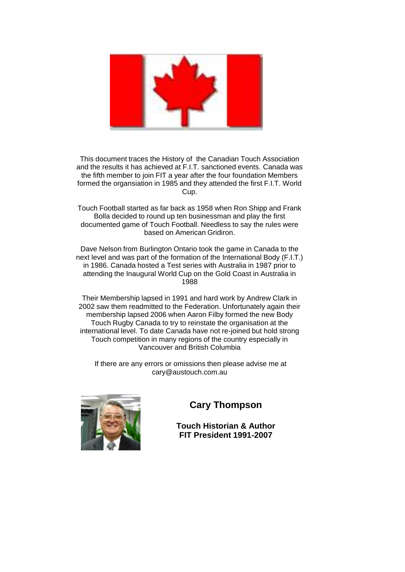

This document traces the History of the Canadian Touch Association and the results it has achieved at F.I.T. sanctioned events. Canada was the fifth member to join FIT a year after the four foundation Members formed the organsiation in 1985 and they attended the first F.I.T. World Cup.

Touch Football started as far back as 1958 when Ron Shipp and Frank Bolla decided to round up ten businessman and play the first documented game of Touch Football. Needless to say the rules were based on American Gridiron.

Dave Nelson from Burlington Ontario took the game in Canada to the next level and was part of the formation of the International Body (F.I.T.) in 1986. Canada hosted a Test series with Australia in 1987 prior to attending the Inaugural World Cup on the Gold Coast in Australia in 1988

Their Membership lapsed in 1991 and hard work by Andrew Clark in 2002 saw them readmitted to the Federation. Unfortunately again their membership lapsed 2006 when Aaron Filby formed the new Body Touch Rugby Canada to try to reinstate the organisation at the international level. To date Canada have not re-joined but hold strong Touch competition in many regions of the country especially in Vancouver and British Columbia

If there are any errors or omissions then please advise me at cary@austouch.com.au



#### **Cary Thompson**

**Touch Historian & Author FIT President 1991-2007**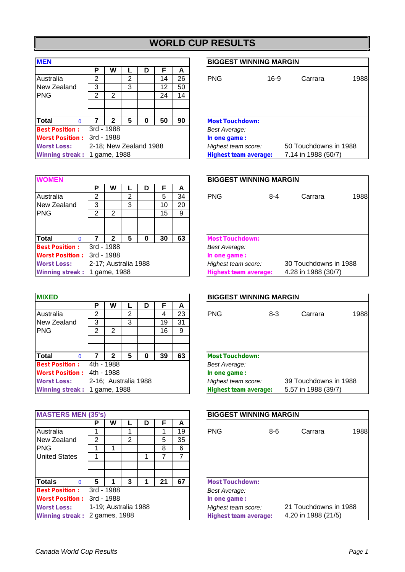# **WORLD CUP RESULTS**

| <b>MEN</b>                   |   |                        |   |   |    |    | <b>BIGGEST WINNING N</b>     |
|------------------------------|---|------------------------|---|---|----|----|------------------------------|
|                              | Р | W                      |   | D | F  | А  |                              |
| Australia                    | 2 |                        | 2 |   | 14 | 26 | <b>PNG</b><br>16             |
| New Zealand                  | 3 |                        | 3 |   | 12 | 50 |                              |
| <b>PNG</b>                   | 2 | 2                      |   |   | 24 | 14 |                              |
|                              |   |                        |   |   |    |    |                              |
|                              |   |                        |   |   |    |    |                              |
| <b>Total</b><br>O            |   | 2                      | 5 | ŋ | 50 | 90 | <b>Most Touchdown:</b>       |
| <b>Best Position:</b>        |   | 3rd - 1988             |   |   |    |    | Best Average:                |
| <b>Worst Position:</b>       |   | 3rd - 1988             |   |   |    |    | In one game:                 |
| <b>Worst Loss:</b>           |   | 2-18; New Zealand 1988 |   |   |    |    | Highest team score:          |
| Winning streak: 1 game, 1988 |   |                        |   |   |    |    | <b>Highest team average:</b> |

| <b>WOMEN</b>                 |            |                      |   |   |    |    | <b>BIGGEST WINNING MARGIN</b>                       |
|------------------------------|------------|----------------------|---|---|----|----|-----------------------------------------------------|
|                              | P          | W                    |   | D |    | A  |                                                     |
| Australia                    | 2          |                      | 2 |   | 5  | 34 | 1 <sup>1</sup><br><b>PNG</b><br>$8 - 4$<br>Carrara  |
| New Zealand                  | 3          |                      | 3 |   | 10 | 20 |                                                     |
| <b>PNG</b>                   | 2          | 2                    |   |   | 15 | 9  |                                                     |
|                              |            |                      |   |   |    |    |                                                     |
|                              |            |                      |   |   |    |    |                                                     |
| Total<br>$\Omega$            |            | 2                    | 5 | O | 30 | 63 | <b>Most Touchdown:</b>                              |
| <b>Best Position:</b>        |            | 3rd - 1988           |   |   |    |    | Best Average:                                       |
| <b>Worst Position:</b>       | 3rd - 1988 |                      |   |   |    |    | In one game:                                        |
| <b>Worst Loss:</b>           |            | 2-17; Australia 1988 |   |   |    |    | 30 Touchdowns in 1988<br>Highest team score:        |
| Winning streak: 1 game, 1988 |            |                      |   |   |    |    | 4.28 in 1988 (30/7)<br><b>Highest team average:</b> |

| <b>MIXED</b>                 |   |            |                      |   |    |    | <b>BIGGEST WINNING MARGIN</b>                       |
|------------------------------|---|------------|----------------------|---|----|----|-----------------------------------------------------|
|                              | Р | W          |                      | D | F  | A  |                                                     |
| Australia                    | 2 |            | 2                    |   | 4  | 23 | <b>PNG</b><br>1 <sup>1</sup><br>$8 - 3$<br>Carrara  |
| New Zealand                  | 3 |            | 3                    |   | 19 | 31 |                                                     |
| <b>IPNG</b>                  | 2 | 2          |                      |   | 16 | 9  |                                                     |
|                              |   |            |                      |   |    |    |                                                     |
|                              |   |            |                      |   |    |    |                                                     |
| <b>Total</b><br>$\Omega$     |   | 2          | 5                    | O | 39 | 63 | <b>Most Touchdown:</b>                              |
| <b>Best Position:</b>        |   | 4th - 1988 |                      |   |    |    | Best Average:                                       |
| <b>Worst Position:</b>       |   | 4th - 1988 |                      |   |    |    | In one game:                                        |
| <b>Worst Loss:</b>           |   |            | 2-16; Australia 1988 |   |    |    | 39 Touchdowns in 1988<br>Highest team score:        |
| Winning streak: 1 game, 1988 |   |            |                      |   |    |    | 5.57 in 1988 (39/7)<br><b>Highest team average:</b> |

| <b>MASTERS MEN (35's)</b>     |   |                      |                |   |    |    | <b>BIGGEST WINNING MARGIN</b>                       |
|-------------------------------|---|----------------------|----------------|---|----|----|-----------------------------------------------------|
|                               | Р | W                    |                | D |    | A  |                                                     |
| Australia                     |   |                      |                |   |    | 19 | <b>PNG</b><br>$8-6$<br>$\ddagger$<br>Carrara        |
| New Zealand                   | 2 |                      | $\overline{2}$ |   | 5  | 35 |                                                     |
| <b>PNG</b>                    |   |                      |                |   | 8  | 6  |                                                     |
| <b>United States</b>          |   |                      |                |   |    | 7  |                                                     |
|                               |   |                      |                |   |    |    |                                                     |
|                               |   |                      |                |   |    |    |                                                     |
| <b>Totals</b><br>$\Omega$     | 5 |                      | 3              |   | 21 | 67 | <b>Most Touchdown:</b>                              |
| <b>Best Position:</b>         |   | 3rd - 1988           |                |   |    |    | Best Average:                                       |
| <b>Worst Position:</b>        |   | 3rd - 1988           |                |   |    |    | In one game:                                        |
| <b>Worst Loss:</b>            |   | 1-19; Australia 1988 |                |   |    |    | 21 Touchdowns in 1988<br>Highest team score:        |
| Winning streak: 2 games, 1988 |   |                      |                |   |    |    | 4.20 in 1988 (21/5)<br><b>Highest team average:</b> |

#### **BIGGEST WINNING MARGIN**

|                              | P | w                      |   |    | A  |                              |                       |
|------------------------------|---|------------------------|---|----|----|------------------------------|-----------------------|
| Australia                    | っ |                        | ⌒ | 14 | 26 | <b>PNG</b><br>$16-9$         | 1988<br>Carrara       |
| New Zealand                  | 3 |                        | 3 | 12 | 50 |                              |                       |
| <b>PNG</b>                   | າ | 2                      |   | 24 | 14 |                              |                       |
|                              |   |                        |   |    |    |                              |                       |
|                              |   |                        |   |    |    |                              |                       |
| <b>Total</b>                 |   |                        |   | 50 | 90 | <b>Most Touchdown:</b>       |                       |
| <b>Best Position:</b>        |   | 3rd - 1988             |   |    |    | <b>Best Average:</b>         |                       |
| <b>Worst Position:</b>       |   | 3rd - 1988             |   |    |    | In one game :                |                       |
| <b>Worst Loss:</b>           |   | 2-18; New Zealand 1988 |   |    |    | Highest team score:          | 50 Touchdowns in 1988 |
| Winning streak: 1 game, 1988 |   |                        |   |    |    | <b>Highest team average:</b> | 7.14 in 1988 (50/7)   |

ן

| <b>WOMEN</b>                 |            |                      |   |          |    |    | <b>BIGGEST WINNING MARGIN</b> |                       |
|------------------------------|------------|----------------------|---|----------|----|----|-------------------------------|-----------------------|
|                              | Р          | w                    |   |          |    | A  |                               |                       |
| Australia                    | 2          |                      | 2 |          | 5  | 34 | <b>PNG</b><br>$8 - 4$         | 1988<br>Carrara       |
| New Zealand                  | 3          |                      | 3 |          | 10 | 20 |                               |                       |
| PNG.                         | 2          | $\overline{2}$       |   |          | 15 | 9  |                               |                       |
|                              |            |                      |   |          |    |    |                               |                       |
|                              |            |                      |   |          |    |    |                               |                       |
| Total                        |            |                      | 5 | $\Omega$ | 30 | 63 | <b>Most Touchdown:</b>        |                       |
| <b>Best Position:</b>        |            | 3rd - 1988           |   |          |    |    | Best Average:                 |                       |
| <b>Worst Position:</b>       | 3rd - 1988 |                      |   |          |    |    | In one game :                 |                       |
| <b>Worst Loss:</b>           |            | 2-17; Australia 1988 |   |          |    |    | Highest team score:           | 30 Touchdowns in 1988 |
| Winning streak: 1 game, 1988 |            |                      |   |          |    |    | <b>Highest team average:</b>  | 4.28 in 1988 (30/7)   |

| <b>MIXED</b>                 |   |                      |   |    |    | <b>BIGGEST WINNING MARGIN</b> |                       |
|------------------------------|---|----------------------|---|----|----|-------------------------------|-----------------------|
|                              | Р | w                    |   |    | А  |                               |                       |
| Australia                    | 2 |                      | ⌒ | 4  | 23 | <b>PNG</b><br>$8 - 3$         | 1988<br>Carrara       |
| New Zealand                  | 3 |                      | 3 | 19 | 31 |                               |                       |
| PNG.                         | 2 | 2                    |   | 16 | 9  |                               |                       |
|                              |   |                      |   |    |    |                               |                       |
|                              |   |                      |   |    |    |                               |                       |
| Total                        |   |                      | 5 | 39 | 63 | <b>Most Touchdown:</b>        |                       |
| <b>Best Position:</b>        |   | 4th - 1988           |   |    |    | Best Average:                 |                       |
| <b>Worst Position :</b>      |   | 4th - 1988           |   |    |    | In one game:                  |                       |
| <b>Worst Loss:</b>           |   | 2-16; Australia 1988 |   |    |    | Highest team score:           | 39 Touchdowns in 1988 |
| Winning streak: 1 game, 1988 |   |                      |   |    |    | <b>Highest team average:</b>  | 5.57 in 1988 (39/7)   |

| <b>MASTERS MEN (35's)</b>     |   |                      |   |    |    | <b>BIGGEST WINNING MARGIN</b> |                       |
|-------------------------------|---|----------------------|---|----|----|-------------------------------|-----------------------|
|                               | Р | W                    |   | F  | A  |                               |                       |
| Australia                     |   |                      |   |    | 19 | <b>PNG</b><br>$8 - 6$         | 1988<br>Carrara       |
| New Zealand                   | 2 |                      | 2 | 5  | 35 |                               |                       |
| PNG.                          |   |                      |   | 8  | 6  |                               |                       |
| <b>United States</b>          |   |                      |   |    | 7  |                               |                       |
|                               |   |                      |   |    |    |                               |                       |
|                               |   |                      |   |    |    |                               |                       |
| <b>Totals</b>                 | 5 |                      |   | 21 | 67 | <b>Most Touchdown:</b>        |                       |
| <b>Best Position:</b>         |   | 3rd - 1988           |   |    |    | Best Average:                 |                       |
| <b>Worst Position :</b>       |   | 3rd - 1988           |   |    |    | In one game:                  |                       |
| <b>Worst Loss:</b>            |   | 1-19; Australia 1988 |   |    |    | Highest team score:           | 21 Touchdowns in 1988 |
| Winning streak: 2 games, 1988 |   |                      |   |    |    | <b>Highest team average:</b>  | 4.20 in 1988 (21/5)   |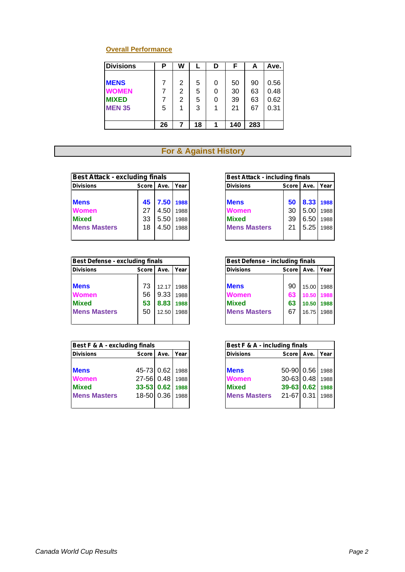## **Overall Performance**

| <b>Divisions</b> | Ρ  | W |    | D | F   | A   | Ave. |
|------------------|----|---|----|---|-----|-----|------|
|                  |    |   |    |   |     |     |      |
| <b>MENS</b>      |    | 2 | 5  | 0 | 50  | 90  | 0.56 |
| <b>WOMEN</b>     |    | 2 | 5  |   | 30  | 63  | 0.48 |
| <b>MIXED</b>     |    | 2 | 5  |   | 39  | 63  | 0.62 |
| <b>MEN 35</b>    | 5  |   | 3  |   | 21  | 67  | 0.31 |
|                  |    |   |    |   |     |     |      |
|                  | 26 | 7 | 18 | ٠ | 140 | 283 |      |

## **For & Against History**

| <b>Best Attack - excluding finals</b> |         |      |      | <b>Best Attack - including finals</b> |         |           |      |
|---------------------------------------|---------|------|------|---------------------------------------|---------|-----------|------|
| <b>Divisions</b>                      | Score I | Ave. | Year | <b>Divisions</b>                      | Score I | Ave.      | Year |
| <b>Mens</b>                           | 45      | 7.50 | 1988 | <b>Mens</b>                           | 50      | 8.33 1988 |      |
| <b>Women</b>                          | 27      | 4.50 | 1988 | <b>Women</b>                          | 30      | 5.00      | 1988 |
| <b>Mixed</b>                          | 33      | 5.50 | 1988 | <b>Mixed</b>                          | 39      | 6.50      | 1988 |
| <b>Mens Masters</b>                   | 18      | 4.50 | 1988 | <b>Mens Masters</b>                   | 21      | 5.25      | 1988 |
|                                       |         |      |      |                                       |         |           |      |

| <b>Best Defense - excluding finals</b> |         |       |      | <b>Best Defense - including finals</b> |         |       |      |
|----------------------------------------|---------|-------|------|----------------------------------------|---------|-------|------|
| <b>Divisions</b>                       | Score I | Ave.  | Year | <b>Divisions</b>                       | Score I | Ave.  | Year |
| <b>Mens</b>                            | 73      | 12.17 | 1988 | <b>Mens</b>                            | 90      | 15.00 | 1988 |
|                                        |         |       |      |                                        |         |       |      |
| <b>Women</b>                           | 56      | 9.33  | 1988 | <b>Women</b>                           | 63      | 10.50 | 1988 |
| <b>Mixed</b>                           | 53      | 8.83  | 1988 | <b>Mixed</b>                           | 63      | 10.50 | 1988 |
| <b>Mens Masters</b>                    | 50      | 12.50 | 1988 | <b>Mens Masters</b>                    | 67      | 16.75 | 1988 |
|                                        |         |       |      |                                        |         |       |      |

| Best F & A - excluding finals |                 |      |      | Best F & A - including finals |                 |      |      |
|-------------------------------|-----------------|------|------|-------------------------------|-----------------|------|------|
| <b>Divisions</b>              | Score           | Ave. | Year | <b>Divisions</b>              | Score I         | Ave. | Year |
|                               |                 |      |      |                               |                 |      |      |
| <b>Mens</b>                   | 45-73 0.62 1988 |      |      | <b>Mens</b>                   | 50-90 0.56      |      | 1988 |
| <b>Women</b>                  | 27-56 0.48      |      | 1988 | <b>Women</b>                  | 30-63 0.48      |      | 1988 |
| <b>Mixed</b>                  | 33-53 0.62 1988 |      |      | <b>Mixed</b>                  | 39-63 0.62 1988 |      |      |
| <b>Mens Masters</b>           | 18-50 0.36      |      | 1988 | <b>Mens Masters</b>           | 21-67 0.31      |      | 1988 |
|                               |                 |      |      |                               |                 |      |      |

| <b>Best Attack - including finals</b> |    |                     |  |
|---------------------------------------|----|---------------------|--|
| <b>Divisions</b>                      |    | Score   Ave.   Year |  |
|                                       |    |                     |  |
| <b>Mens</b>                           | 50 | 8.33 1988           |  |
| Women                                 | 30 | 5.00 1988           |  |
| <b>Mixed</b>                          | 39 | 6.50 1988           |  |
| <b>Mens Masters</b>                   | 21 | $5.25$ 1988         |  |
|                                       |    |                     |  |

| <b>Best Defense - including finals</b> |              |            |            |
|----------------------------------------|--------------|------------|------------|
| <b>Divisions</b>                       | <b>Score</b> | Ave.       | l Year     |
|                                        |              |            |            |
| <b>Mens</b>                            | 90           |            | 15.00 1988 |
| Women                                  | 63           | 10.50 1988 |            |
| <b>Mixed</b>                           | 63           | 10.50 1988 |            |
| <b>Mens Masters</b>                    | 67           |            | 16.75 1988 |
|                                        |              |            |            |

| Best F & A - including finals |                     |      |
|-------------------------------|---------------------|------|
| <b>Divisions</b>              | Score   Ave.   Year |      |
|                               |                     |      |
| <b>Mens</b>                   | 50-90 0.56 1988     |      |
| Women                         | 30-63 0.48 1988     |      |
| <b>Mixed</b>                  | 39-63 0.62 1988     |      |
| <b>Mens Masters</b>           | $21 - 67$ 0.31      | 1988 |
|                               |                     |      |